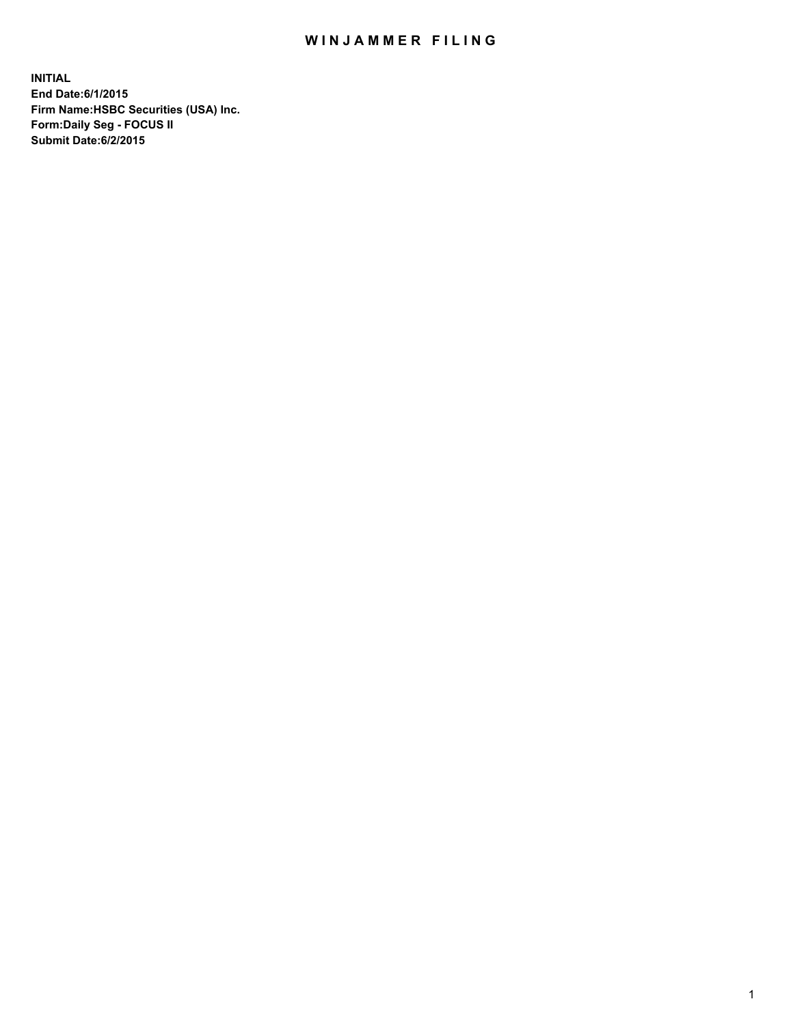## WIN JAMMER FILING

**INITIAL End Date:6/1/2015 Firm Name:HSBC Securities (USA) Inc. Form:Daily Seg - FOCUS II Submit Date:6/2/2015**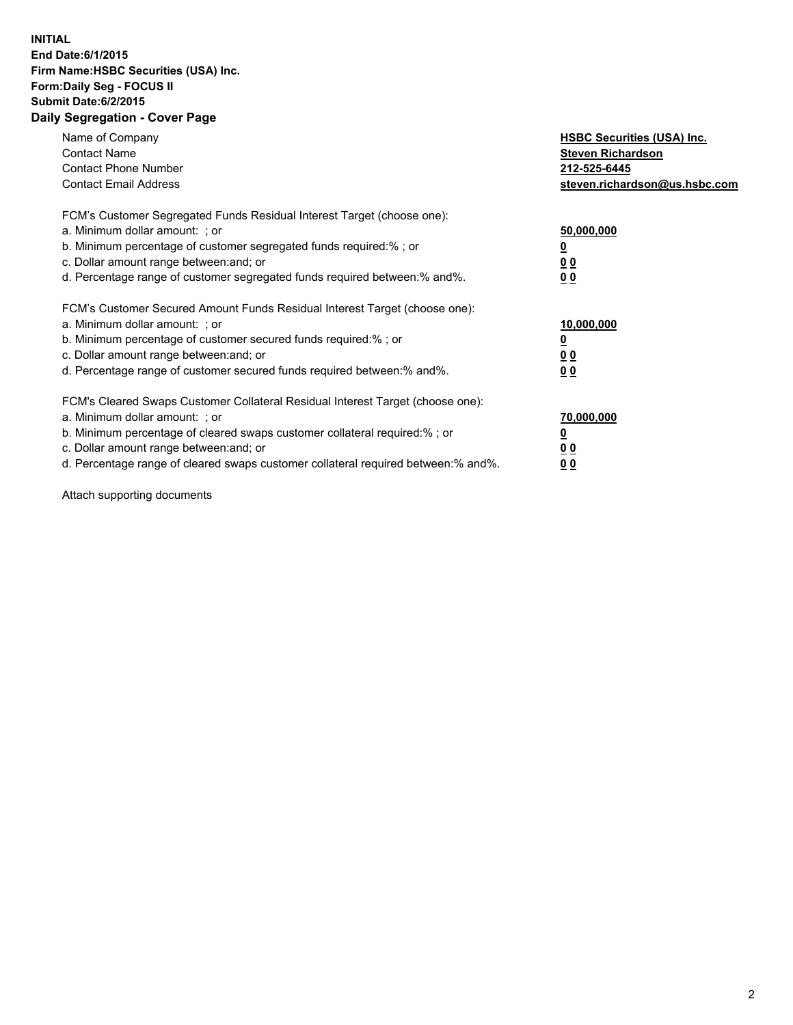## **INITIAL End Date:6/1/2015 Firm Name:HSBC Securities (USA) Inc. Form:Daily Seg - FOCUS II Submit Date:6/2/2015 Daily Segregation - Cover Page**

| Name of Company<br><b>Contact Name</b><br><b>Contact Phone Number</b><br><b>Contact Email Address</b>                                                                                                                                                                                                                         | <b>HSBC Securities (USA) Inc.</b><br><b>Steven Richardson</b><br>212-525-6445<br>steven.richardson@us.hsbc.com |
|-------------------------------------------------------------------------------------------------------------------------------------------------------------------------------------------------------------------------------------------------------------------------------------------------------------------------------|----------------------------------------------------------------------------------------------------------------|
| FCM's Customer Segregated Funds Residual Interest Target (choose one):<br>a. Minimum dollar amount: ; or<br>b. Minimum percentage of customer segregated funds required:% ; or<br>c. Dollar amount range between: and; or<br>d. Percentage range of customer segregated funds required between: % and %.                      | 50,000,000<br>00<br>0 <sub>0</sub>                                                                             |
| FCM's Customer Secured Amount Funds Residual Interest Target (choose one):<br>a. Minimum dollar amount: ; or<br>b. Minimum percentage of customer secured funds required:%; or<br>c. Dollar amount range between: and; or<br>d. Percentage range of customer secured funds required between:% and%.                           | 10,000,000<br>0 <sub>0</sub><br>0 <sub>0</sub>                                                                 |
| FCM's Cleared Swaps Customer Collateral Residual Interest Target (choose one):<br>a. Minimum dollar amount: ; or<br>b. Minimum percentage of cleared swaps customer collateral required:%; or<br>c. Dollar amount range between: and; or<br>d. Percentage range of cleared swaps customer collateral required between:% and%. | 70,000,000<br>0 <sub>0</sub><br>00                                                                             |

Attach supporting documents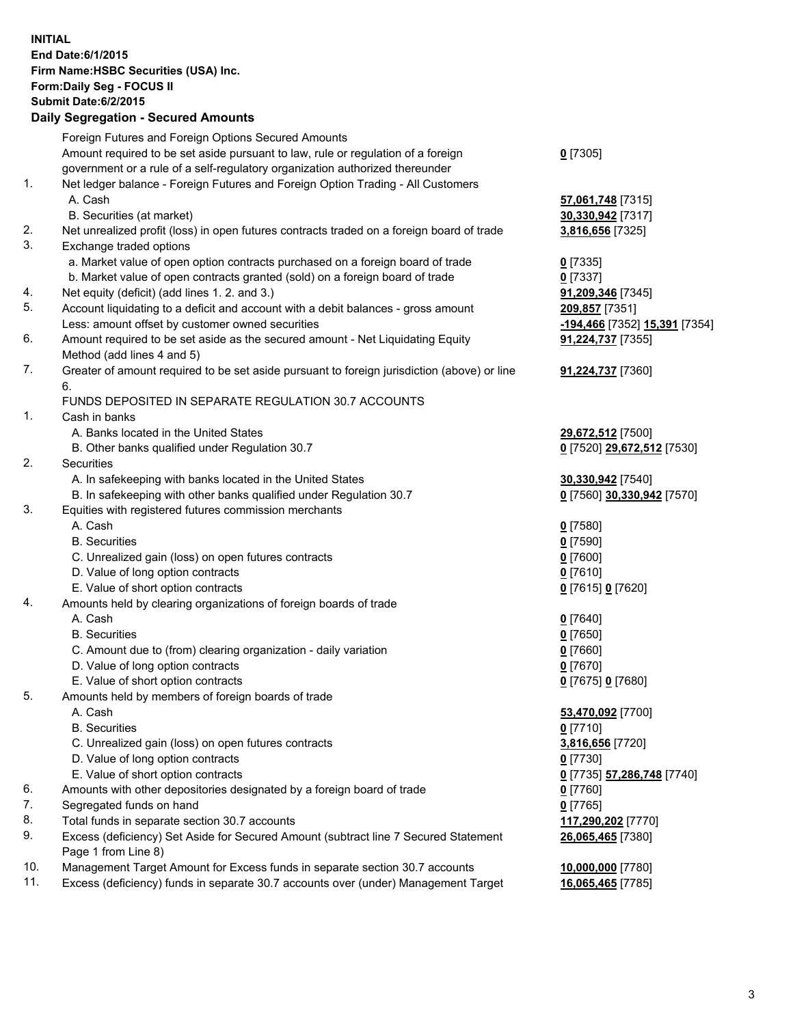**INITIAL End Date:6/1/2015 Firm Name:HSBC Securities (USA) Inc. Form:Daily Seg - FOCUS II Submit Date:6/2/2015 Daily Segregation - Secured Amounts** Foreign Futures and Foreign Options Secured Amounts Amount required to be set aside pursuant to law, rule or regulation of a foreign government or a rule of a self-regulatory organization authorized thereunder **0** [7305] 1. Net ledger balance - Foreign Futures and Foreign Option Trading - All Customers A. Cash **57,061,748** [7315] B. Securities (at market) **30,330,942** [7317] 2. Net unrealized profit (loss) in open futures contracts traded on a foreign board of trade **3,816,656** [7325] 3. Exchange traded options a. Market value of open option contracts purchased on a foreign board of trade **0** [7335] b. Market value of open contracts granted (sold) on a foreign board of trade **0** [7337] 4. Net equity (deficit) (add lines 1. 2. and 3.) **91,209,346** [7345] 5. Account liquidating to a deficit and account with a debit balances - gross amount **209,857** [7351] Less: amount offset by customer owned securities **-194,466** [7352] **15,391** [7354] 6. Amount required to be set aside as the secured amount - Net Liquidating Equity Method (add lines 4 and 5) **91,224,737** [7355] 7. Greater of amount required to be set aside pursuant to foreign jurisdiction (above) or line 6. **91,224,737** [7360] FUNDS DEPOSITED IN SEPARATE REGULATION 30.7 ACCOUNTS 1. Cash in banks A. Banks located in the United States **29,672,512** [7500] B. Other banks qualified under Regulation 30.7 **0** [7520] **29,672,512** [7530] 2. Securities A. In safekeeping with banks located in the United States **30,330,942** [7540] B. In safekeeping with other banks qualified under Regulation 30.7 **0** [7560] **30,330,942** [7570] 3. Equities with registered futures commission merchants A. Cash **0** [7580] B. Securities **0** [7590] C. Unrealized gain (loss) on open futures contracts **0** [7600] D. Value of long option contracts **0** [7610] E. Value of short option contracts **0** [7615] **0** [7620] 4. Amounts held by clearing organizations of foreign boards of trade A. Cash **0** [7640] B. Securities **0** [7650] C. Amount due to (from) clearing organization - daily variation **0** [7660] D. Value of long option contracts **0** [7670] E. Value of short option contracts **0** [7675] **0** [7680] 5. Amounts held by members of foreign boards of trade A. Cash **53,470,092** [7700] B. Securities **0** [7710] C. Unrealized gain (loss) on open futures contracts **3,816,656** [7720] D. Value of long option contracts **0** [7730] E. Value of short option contracts **0** [7735] **57,286,748** [7740] 6. Amounts with other depositories designated by a foreign board of trade **0** [7760] 7. Segregated funds on hand **0** [7765] 8. Total funds in separate section 30.7 accounts **117,290,202** [7770] 9. Excess (deficiency) Set Aside for Secured Amount (subtract line 7 Secured Statement Page 1 from Line 8) **26,065,465** [7380] 10. Management Target Amount for Excess funds in separate section 30.7 accounts **10,000,000** [7780] 11. Excess (deficiency) funds in separate 30.7 accounts over (under) Management Target **16,065,465** [7785]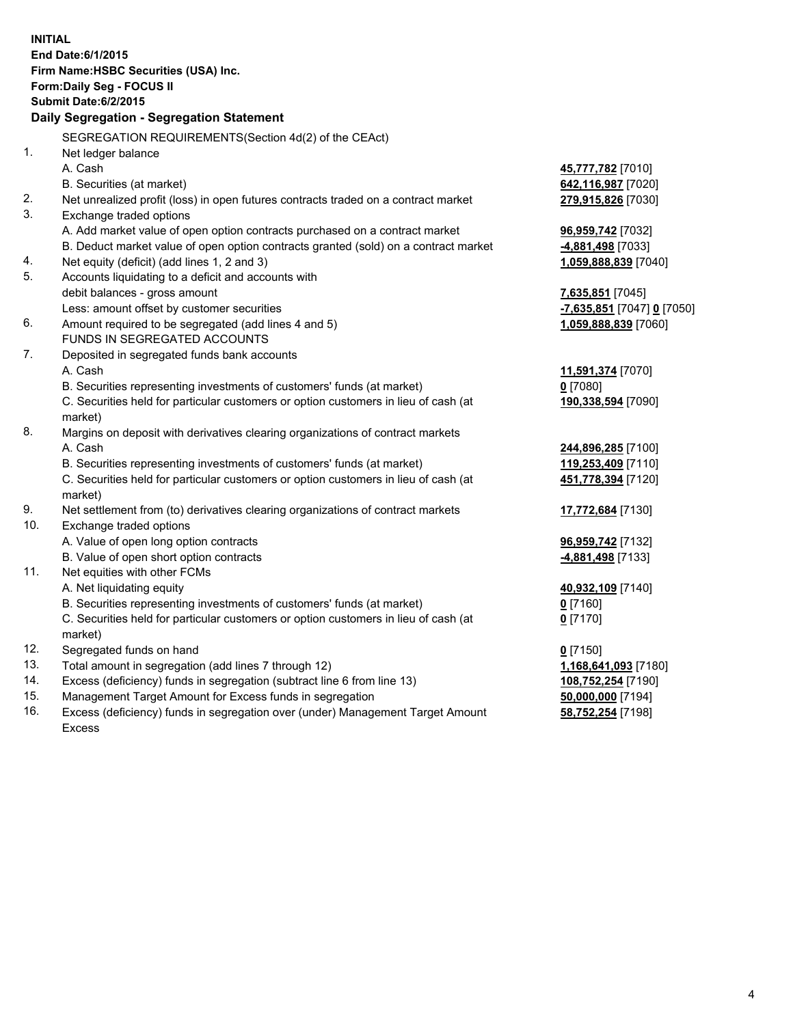| <b>INITIAL</b>                  | End Date: 6/1/2015<br>Firm Name: HSBC Securities (USA) Inc.<br>Form: Daily Seg - FOCUS II<br><b>Submit Date:6/2/2015</b><br>Daily Segregation - Segregation Statement<br>SEGREGATION REQUIREMENTS(Section 4d(2) of the CEAct)                                                                                              |                                                                                                    |
|---------------------------------|----------------------------------------------------------------------------------------------------------------------------------------------------------------------------------------------------------------------------------------------------------------------------------------------------------------------------|----------------------------------------------------------------------------------------------------|
| 1.                              | Net ledger balance<br>A. Cash                                                                                                                                                                                                                                                                                              | 45,777,782 [7010]                                                                                  |
| 2.<br>3.                        | B. Securities (at market)<br>Net unrealized profit (loss) in open futures contracts traded on a contract market<br>Exchange traded options                                                                                                                                                                                 | 642,116,987 [7020]<br>279,915,826 [7030]                                                           |
| 4.                              | A. Add market value of open option contracts purchased on a contract market<br>B. Deduct market value of open option contracts granted (sold) on a contract market<br>Net equity (deficit) (add lines 1, 2 and 3)                                                                                                          | 96,959,742 [7032]<br>-4,881,498 [7033]                                                             |
| 5.                              | Accounts liquidating to a deficit and accounts with<br>debit balances - gross amount                                                                                                                                                                                                                                       | 1,059,888,839 [7040]<br>7,635,851 [7045]                                                           |
| 6.                              | Less: amount offset by customer securities<br>Amount required to be segregated (add lines 4 and 5)<br>FUNDS IN SEGREGATED ACCOUNTS                                                                                                                                                                                         | -7,635,851 [7047] 0 [7050]<br>1,059,888,839 [7060]                                                 |
| 7.                              | Deposited in segregated funds bank accounts<br>A. Cash<br>B. Securities representing investments of customers' funds (at market)<br>C. Securities held for particular customers or option customers in lieu of cash (at<br>market)                                                                                         | 11,591,374 [7070]<br>$0$ [7080]<br>190,338,594 [7090]                                              |
| 8.                              | Margins on deposit with derivatives clearing organizations of contract markets<br>A. Cash<br>B. Securities representing investments of customers' funds (at market)<br>C. Securities held for particular customers or option customers in lieu of cash (at<br>market)                                                      | 244,896,285 [7100]<br>119,253,409 [7110]<br>451,778,394 [7120]                                     |
| 9.<br>10.                       | Net settlement from (to) derivatives clearing organizations of contract markets<br>Exchange traded options<br>A. Value of open long option contracts                                                                                                                                                                       | 17,772,684 [7130]<br>96,959,742 [7132]                                                             |
| 11.                             | B. Value of open short option contracts<br>Net equities with other FCMs<br>A. Net liquidating equity<br>B. Securities representing investments of customers' funds (at market)<br>C. Securities held for particular customers or option customers in lieu of cash (at<br>market)                                           | 4,881,498 [7133]<br>40,932,109 [7140]<br><u>0</u> [7160]<br>$0$ [7170]                             |
| 12.<br>13.<br>14.<br>15.<br>16. | Segregated funds on hand<br>Total amount in segregation (add lines 7 through 12)<br>Excess (deficiency) funds in segregation (subtract line 6 from line 13)<br>Management Target Amount for Excess funds in segregation<br>Excess (deficiency) funds in segregation over (under) Management Target Amount<br><b>Excess</b> | $0$ [7150]<br>1,168,641,093 [7180]<br>108,752,254 [7190]<br>50,000,000 [7194]<br>58,752,254 [7198] |